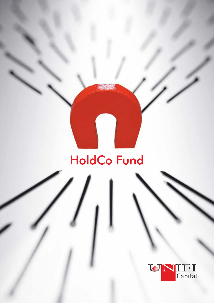# HoldCo Fund

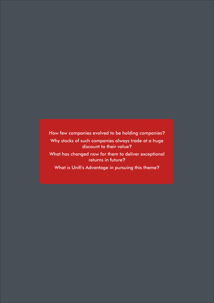How few companies evolved to be holding companies**?**

Why stocks of such companies always trade at a huge discount to their value**?**

What has changed now for them to deliver exceptional returns in future**?**

What is Unifi's Advantage in pursuing this theme?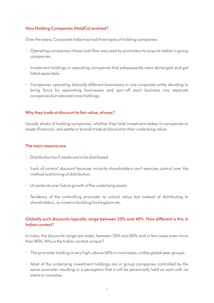# How Holding Companies (HoldCo) evolved?

Over the years, Corporate India has had three types of holding companies.

- Operating companies whose cash flow was used by promoters to acquire stakes in group companies.
- Investment holdings in operating companies that subsequently were demerged and got listed separately.
- Companies operating distinctly different businesses in one corporate entity deciding to bring focus by separating businesses and spin-off each business into separate companies but retained cross holdings.

#### Why they trade at discount to fair value, always?

Usually stocks of holding companies, whether they hold investment stakes in companies or assets (financial, real estate or brand) trade at discount to their underlying value.

#### The main reasons are:

- Distribution tax if assets are to be distributed.
- 'Lack of control' discount because minority shareholders can't exercise control over the method and timing of distribution.
- Uncertainty over future growth of the underlying assets.
- Tendency of the controlling promoter to unlock value but instead of distributing to shareholders, re-invest in building his kingdom etc.

#### Globally such discounts typically range between 20% and 40%. How different is this in Indian context?

In India, the discounts range are wider, between 30% and 80% and in few cases even more than 80%. Why is the Indian context unique?

- The promoter holding is very high, above 50% in most cases, unlike global peer groups.
- Most of the underlying investment holdings are in group companies controlled by the same promoter resulting in a perception that it will be perennially held as such with no intent to monetize.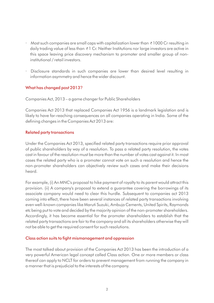- Most such companies are small caps with capitalization lower than *₹* 1000 Cr resulting in daily trading value of less than *₹* 1 Cr. Neither Institutions nor large investors are active in this space leaving price discovery mechanism to promoter and smaller group of noninstitutional / retail investors.
- Disclosure standards in such companies are lower than desired level resulting in information asymmetry and hence the wider discount.

## What has changed post 2013?

Companies Act, 2013 – a game changer for Public Shareholders

Companies Act 2013 that replaced Companies Act 1956 is a landmark legislation and is likely to have far-reaching consequences on all companies operating in India. Some of the defining changes in the Companies Act 2013 are:

#### Related party transactions

Under the Companies Act 2013, specified related party transactions require prior approval of public shareholders by way of a resolution. To pass a related party resolution, the votes cast in favour of the resolution must be more than the number of votes cast against it. In most cases the related party who is a promoter cannot vote on such a resolution and hence the non-promoter shareholders can objectively review such cases and make their decisions heard.

For example, (i) An MNC's proposal to hike payment of royalty to its parent would attract this provision. (ii) A company's proposal to extend a guarantee covering the borrowings of its associate company would need to clear this hurdle. Subsequent to companies act 2013 coming into effect, there have been several instances of related party transactions involving even well-known companies like Maruti Suzuki, Ambuja Cements, United Spirits, Raymonds etc being put to vote and decided by the majority opinion of the non-promoter shareholders. Accordingly, it has become essential for the promoter shareholders to establish that the related party transactions are fair to the company and all its shareholders otherwise they will not be able to get the required consent for such resolutions.

#### Class action suits to fight mismanagement and oppression

The most talked about provision of the Companies Act 2013 has been the introduction of a very powerful American legal concept called Class action. One or more members or class thereof can apply to NCLT for orders to prevent management from running the company in a manner that is prejudicial to the interests of the company.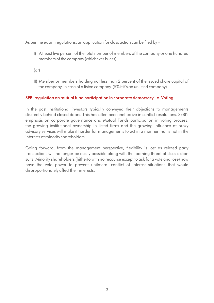As per the extant regulations, an application for class action can be filed by  $-$ 

- I) At least five percent of the total number of members of the company or one hundred members of the company (whichever is less)
- (or)
- II) Member or members holding not less than 2 percent of the issued share capital of the company, in case of a listed company. (5% if it's an unlisted company)

#### SEBI regulation on mutual fund participation in corporate democracy i.e. Voting.

In the past institutional investors typically conveyed their objections to managements discreetly behind closed doors. This has often been ineffective in conflict resolutions. SEBI's emphasis on corporate governance and Mutual Funds participation in voting process, the growing institutional ownership in listed firms and the growing influence of proxy advisory services will make it harder for managements to act in a manner that is not in the interests of minority shareholders.

Going forward, from the management perspective, flexibility is lost as related party transactions will no longer be easily possible along with the looming threat of class action suits. Minority shareholders (hitherto with no recourse except to ask for a vote and lose) now have the veto power to prevent unilateral conflict of interest situations that would disproportionately affect their interests.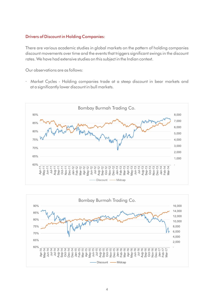#### Drivers of Discount in Holding Companies:

There are various academic studies in global markets on the pattern of holding companies discount movements over time and the events that triggers significant swings in the discount rates. We have had extensive studies on this subject in the Indian context.

Our observations are as follows:

 Market Cycles - Holding companies trade at a steep discount in bear markets and at a signicantly lower discount in bull markets.



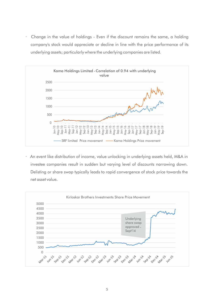Change in the value of holdings - Even if the discount remains the same, a holding company's stock would appreciate or decline in line with the price performance of its underlying assets; particularly where the underlying companies are listed.



An event like distribution of income, value unlocking in underlying assets held, M&A in investee companies result in sudden but varying level of discounts narrowing down. Delisting or share swap typically leads to rapid convergence of stock price towards the net asset value.

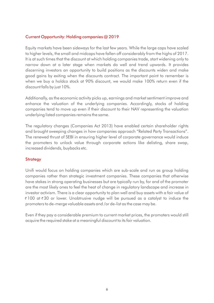### Current Opportunity: Holding companies @ 2019

Equity markets have been sideways for the last few years. While the large caps have scaled to higher levels, the small and midcaps have fallen off considerably from the highs of 2017. It is at such times that the discount at which holding companies trade, start widening only to narrow down at a later stage when markets do well and trend upwards. It provides discerning investors an opportunity to build positions as the discounts widen and make good gains by exiting when the discounts contract. The important point to remember is when we buy a holdco stock at 90% discount, we would make 100% return even if the discount falls by just 10%.

Additionally, as the economic activity picks up, earnings and market sentiment improve and enhance the valuation of the underlying companies. Accordingly, stocks of holding companies tend to move up even if their discount to their NAV representing the valuation underlying listed companies remains the same.

The regulatory changes (Companies Act 2013) have enabled certain shareholder rights and brought sweeping changes in how companies approach "Related Party Transactions". The renewed thrust of SEBI in ensuring higher level of corporate governance would induce the promoters to unlock value through corporate actions like delisting, share swap, increased dividends, buybacks etc.

#### **Strategy**

Unifi would focus on holding companies which are sub-scale and run as group holding companies rather than strategic investment companies. These companies that otherwise have stakes in strong operating businesses but are typically run by, for and of the promoter are the most likely ones to feel the heat of change in regulatory landscape and increase in investor activism. There is a clear opportunity to plan well and buy assets with a fair value of *₹* 100 at *₹* 30 or lower. Unobtrusive nudge will be pursued as a catalyst to induce the promoters to de-merge valuable assets and /or de-list as the case may be.

Even if they pay a considerable premium to current market prices, the promoters would still acquire the required stake at a meaningful discount to its fair valuation.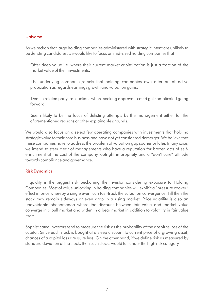#### Universe

As we reckon that large holding companies administered with strategic intent are unlikely to be delisting candidates, we would like to focus on mid-sized holding companies that

- Offer deep value i.e. where their current market capitalization is just a fraction of the market value of their investments.
- The underlying companies/assets that holding companies own offer an attractive proposition as regards earnings growth and valuation gains;
- Deal in related party transactions where seeking approvals could get complicated going forward.
- Seem likely to be the focus of delisting attempts by the management either for the aforementioned reasons or other explainable grounds.

We would also focus on a select few operating companies with investments that hold no strategic value to their core business and have not yet considered demerger. We believe that these companies have to address the problem of valuation gap sooner or later. In any case, we intend to steer clear of managements who have a reputation for brazen acts of selfenrichment at the cost of the company, outright impropriety and a "don't care" attitude towards compliance and governance.

#### Risk Dynamics

Illiquidity is the biggest risk beckoning the investor considering exposure to Holding Companies. Most of value unlocking in holding companies will exhibit a "pressure cooker" effect in price whereby a single event can fast-track the valuation convergence. Till then the stock may remain sideways or even drop in a rising market. Price volatility is also an unavoidable phenomenon where the discount between fair value and market value converge in a bull market and widen in a bear market in addition to volatility in fair value itself.

Sophisticated investors tend to measure the risk as the probability of the absolute loss of the capital. Since each stock is bought at a steep discount to current price of a growing asset, chances of a capital loss are quite less. On the other hand, if we define risk as measured by standard deviation of the stock, then such stocks would fall under the high risk category.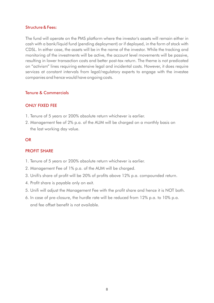#### Structure & Fees:

The fund will operate on the PMS platform where the investor's assets will remain either in cash with a bank/liquid fund (pending deployment) or if deployed, in the form of stock with CDSL. In either case, the assets will be in the name of the investor. While the tracking and monitoring of the investments will be active, the account level movements will be passive, resulting in lower transaction costs and better post-tax return. The theme is not predicated on "activism" lines requiring extensive legal and incidental costs. However, it does require services at constant intervals from legal/regulatory experts to engage with the investee companies and hence would have ongoing costs.

#### Tenure & Commercials

#### ONLY FIXED FEE

- 1. Tenure of 5 years or 200% absolute return whichever is earlier.
- 2. Management fee of 2% p.a. of the AUM will be charged on a monthly basis on the last working day value.

#### OR

#### PROFIT SHARE

- 1. Tenure of 5 years or 200% absolute return whichever is earlier.
- 2. Management Fee of 1% p.a. of the AUM will be charged.
- 3. Unifi's share of profit will be 20% of profits above 12% p.a. compounded return.
- 4. Profit share is payable only on exit.
- 5. Unifi will adjust the Management Fee with the profit share and hence it is NOT both.
- 6. In case of pre-closure, the hurdle rate will be reduced from 12% p.a. to 10% p.a. and fee offset benefit is not available.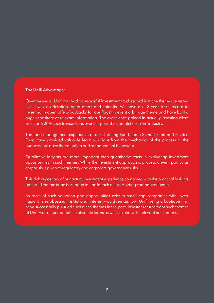#### The Unifi Advantage:

Over the years, Unifi has had a successful investment track record in niche themes centered exclusively on delisting, open offers and spinoffs. We have an 18-year track record in investing in open offers/buybacks for our flagship event arbitrage theme and have built a huge repository of relevant information. The experience gained in actually investing client assets in 200+ such transactions over this period is unmatched in the industry.

The fund management experience of our Delisting Fund, India Spinoff Fund and Holdco Fund have provided valuable learnings right from the mechanics of the process to the nuances that drive the valuation and management behaviour.

Qualitative insights are more important than quantitative facts in evaluating investment opportunities in such themes. While the investment approach is process driven, particular emphasis is given to regulatory and corporate governance risks.

This rich repository of our actual investment experience combined with the practical insights gathered therein is the backbone for the launch of this Holding companies theme.

As most of such valuation gap opportunities exist in small cap companies with lower liquidity, size obsessed Institutional interest would remain low. Unifi being a boutique firm have successfully pursued such niche themes in the past. Investor returns from such themes of Unifi were superior both in absolute terms as well as relative to relevant benchmarks.